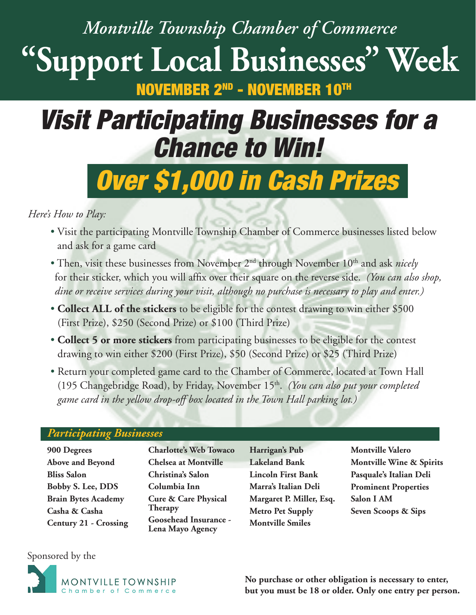## *Montville Township Chamber of Commerce* **"Support Local Businesses" Week** NOVEMBER 2<sup>nd</sup> - NOVEMBER

# *Visit Participating Businesses for a Chance to Win!*

# *Over \$1,000 in Cash Prizes*

### *Here's How to Play:*

- Visit the participating Montville Township Chamber of Commerce businesses listed below and ask for a game card
- Then, visit these businesses from November 2<sup>nd</sup> through November 10<sup>th</sup> and ask *nicely* for their sticker, which you will affix over their square on the reverse side. *(You can also shop*, *dine or receive services during your visit, although no purchase is necessary to play and enter.)*
- **Collect ALL of the stickers** to be eligible for the contest drawing to win either \$500 (First Prize), \$250 (Second Prize) or \$100 (Third Prize)
- • **Collect 5 or more stickers** from participating businesses to be eligible for the contest drawing to win either \$200 (First Prize), \$50 (Second Prize) or \$25 (Third Prize)
- Return your completed game card to the Chamber of Commerce, located at Town Hall (195 Changebridge Road), by Friday, November 15th. *(You can also put your completed game card in the yellow drop-off box located in the Town Hall parking lot.)*

#### *Participating Businesses*

**900 Degrees Above and Beyond Bliss Salon Bobby S. Lee, DDS Brain Bytes Academy Casha & Casha Century 21 - Crossing** **Charlotte's Web Towaco Chelsea at Montville Christina's Salon Columbia Inn Cure & Care Physical Therapy Goosehead Insurance - Lena Mayo Agency**

**Harrigan's Pub Lakeland Bank Lincoln First Bank Marra's Italian Deli Margaret P. Miller, Esq. Metro Pet Supply Montville Smiles**

**Montville Valero Montville Wine & Spirits Pasquale's Italian Deli Prominent Properties Salon I AM Seven Scoops & Sips**

### Sponsored by the



**No purchase or other obligation is necessary to enter, but you must be 18 or older. Only one entry per person.**